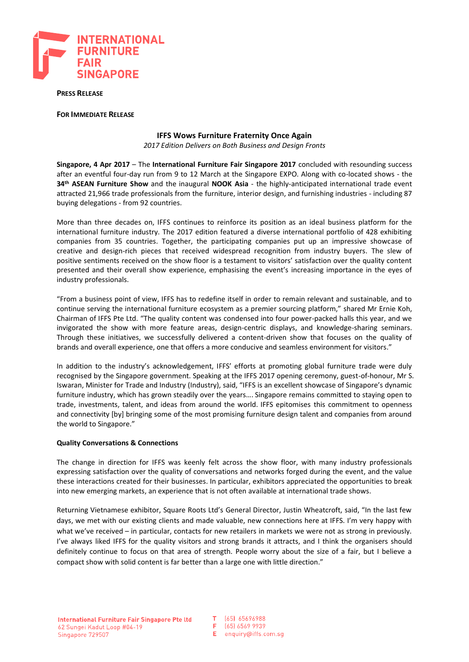

**PRESS RELEASE**

**FOR IMMEDIATE RELEASE**

## **IFFS Wows Furniture Fraternity Once Again**

*2017 Edition Delivers on Both Business and Design Fronts*

**Singapore, 4 Apr 2017** – The **International Furniture Fair Singapore 2017** concluded with resounding success after an eventful four-day run from 9 to 12 March at the Singapore EXPO. Along with co-located shows - the **34th ASEAN Furniture Show** and the inaugural **NOOK Asia** - the highly-anticipated international trade event attracted 21,966 trade professionals from the furniture, interior design, and furnishing industries - including 87 buying delegations - from 92 countries.

More than three decades on, IFFS continues to reinforce its position as an ideal business platform for the international furniture industry. The 2017 edition featured a diverse international portfolio of 428 exhibiting companies from 35 countries. Together, the participating companies put up an impressive showcase of creative and design-rich pieces that received widespread recognition from industry buyers. The slew of positive sentiments received on the show floor is a testament to visitors' satisfaction over the quality content presented and their overall show experience, emphasising the event's increasing importance in the eyes of industry professionals.

"From a business point of view, IFFS has to redefine itself in order to remain relevant and sustainable, and to continue serving the international furniture ecosystem as a premier sourcing platform," shared Mr Ernie Koh, Chairman of IFFS Pte Ltd. "The quality content was condensed into four power-packed halls this year, and we invigorated the show with more feature areas, design-centric displays, and knowledge-sharing seminars. Through these initiatives, we successfully delivered a content-driven show that focuses on the quality of brands and overall experience, one that offers a more conducive and seamless environment for visitors."

In addition to the industry's acknowledgement, IFFS' efforts at promoting global furniture trade were duly recognised by the Singapore government. Speaking at the IFFS 2017 opening ceremony, guest-of-honour, Mr S. Iswaran, Minister for Trade and Industry (Industry), said, "IFFS is an excellent showcase of Singapore's dynamic furniture industry, which has grown steadily over the years…. Singapore remains committed to staying open to trade, investments, talent, and ideas from around the world. IFFS epitomises this commitment to openness and connectivity [by] bringing some of the most promising furniture design talent and companies from around the world to Singapore."

## **Quality Conversations & Connections**

The change in direction for IFFS was keenly felt across the show floor, with many industry professionals expressing satisfaction over the quality of conversations and networks forged during the event, and the value these interactions created for their businesses. In particular, exhibitors appreciated the opportunities to break into new emerging markets, an experience that is not often available at international trade shows.

Returning Vietnamese exhibitor, Square Roots Ltd's General Director, Justin Wheatcroft, said, "In the last few days, we met with our existing clients and made valuable, new connections here at IFFS. I'm very happy with what we've received – in particular, contacts for new retailers in markets we were not as strong in previously. I've always liked IFFS for the quality visitors and strong brands it attracts, and I think the organisers should definitely continue to focus on that area of strength. People worry about the size of a fair, but I believe a compact show with solid content is far better than a large one with little direction."

 $\mathsf T$  . [65] 65696988 (65) 6569 9939 F.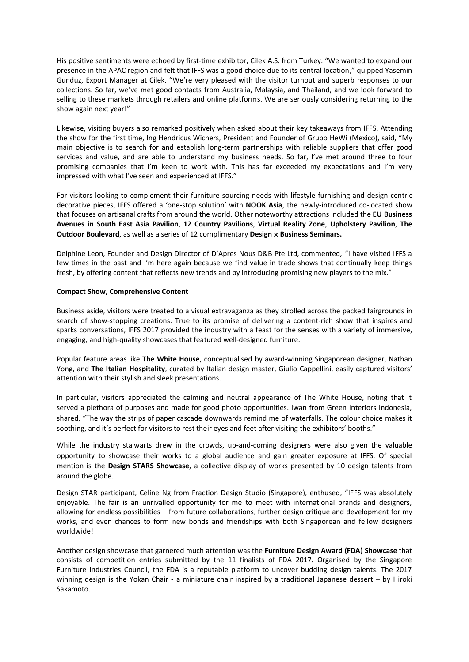His positive sentiments were echoed by first-time exhibitor, Cilek A.S. from Turkey. "We wanted to expand our presence in the APAC region and felt that IFFS was a good choice due to its central location," quipped Yasemin Gunduz, Export Manager at Cilek. "We're very pleased with the visitor turnout and superb responses to our collections. So far, we've met good contacts from Australia, Malaysia, and Thailand, and we look forward to selling to these markets through retailers and online platforms. We are seriously considering returning to the show again next year!"

Likewise, visiting buyers also remarked positively when asked about their key takeaways from IFFS. Attending the show for the first time, Ing Hendricus Wichers, President and Founder of Grupo HeWi (Mexico), said, "My main objective is to search for and establish long-term partnerships with reliable suppliers that offer good services and value, and are able to understand my business needs. So far, I've met around three to four promising companies that I'm keen to work with. This has far exceeded my expectations and I'm very impressed with what I've seen and experienced at IFFS."

For visitors looking to complement their furniture-sourcing needs with lifestyle furnishing and design-centric decorative pieces, IFFS offered a 'one-stop solution' with **NOOK Asia**, the newly-introduced co-located show that focuses on artisanal crafts from around the world. Other noteworthy attractions included the **EU Business Avenues in South East Asia Pavilion**, **12 Country Pavilions**, **Virtual Reality Zone**, **Upholstery Pavilion**, **The Outdoor Boulevard**, as well as a series of 12 complimentary **Design × Business Seminars.** 

Delphine Leon, Founder and Design Director of D'Apres Nous D&B Pte Ltd, commented, "I have visited IFFS a few times in the past and I'm here again because we find value in trade shows that continually keep things fresh, by offering content that reflects new trends and by introducing promising new players to the mix."

## **Compact Show, Comprehensive Content**

Business aside, visitors were treated to a visual extravaganza as they strolled across the packed fairgrounds in search of show-stopping creations. True to its promise of delivering a content-rich show that inspires and sparks conversations, IFFS 2017 provided the industry with a feast for the senses with a variety of immersive, engaging, and high-quality showcases that featured well-designed furniture.

Popular feature areas like **The White House**, conceptualised by award-winning Singaporean designer, Nathan Yong, and **The Italian Hospitality**, curated by Italian design master, Giulio Cappellini, easily captured visitors' attention with their stylish and sleek presentations.

In particular, visitors appreciated the calming and neutral appearance of The White House, noting that it served a plethora of purposes and made for good photo opportunities. Iwan from Green Interiors Indonesia, shared, "The way the strips of paper cascade downwards remind me of waterfalls. The colour choice makes it soothing, and it's perfect for visitors to rest their eyes and feet after visiting the exhibitors' booths."

While the industry stalwarts drew in the crowds, up-and-coming designers were also given the valuable opportunity to showcase their works to a global audience and gain greater exposure at IFFS. Of special mention is the **Design STARS Showcase**, a collective display of works presented by 10 design talents from around the globe.

Design STAR participant, Celine Ng from Fraction Design Studio (Singapore), enthused, "IFFS was absolutely enjoyable. The fair is an unrivalled opportunity for me to meet with international brands and designers, allowing for endless possibilities – from future collaborations, further design critique and development for my works, and even chances to form new bonds and friendships with both Singaporean and fellow designers worldwide!

Another design showcase that garnered much attention was the **Furniture Design Award (FDA) Showcase** that consists of competition entries submitted by the 11 finalists of FDA 2017. Organised by the Singapore Furniture Industries Council, the FDA is a reputable platform to uncover budding design talents. The 2017 winning design is the Yokan Chair - a miniature chair inspired by a traditional Japanese dessert – by Hiroki Sakamoto.